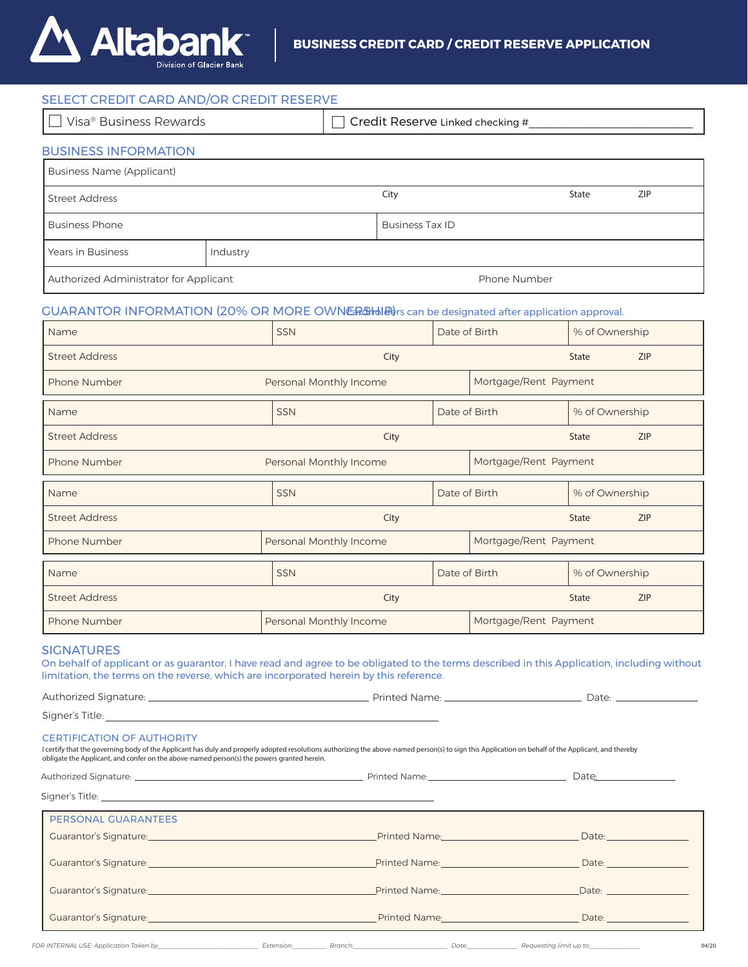

| SELECT CREDIT CARD AND/OR CREDIT RESERVE                                                                                                                                                                                                                                                                                               |                         |                             |                                  |                        |                                                                                                                |                       |                                      |     |  |
|----------------------------------------------------------------------------------------------------------------------------------------------------------------------------------------------------------------------------------------------------------------------------------------------------------------------------------------|-------------------------|-----------------------------|----------------------------------|------------------------|----------------------------------------------------------------------------------------------------------------|-----------------------|--------------------------------------|-----|--|
| Visa <sup>®</sup> Business Rewards                                                                                                                                                                                                                                                                                                     |                         |                             | Credit Reserve Linked checking # |                        |                                                                                                                |                       |                                      |     |  |
| <b>BUSINESS INFORMATION</b>                                                                                                                                                                                                                                                                                                            |                         |                             |                                  |                        |                                                                                                                |                       |                                      |     |  |
| <b>Business Name (Applicant)</b>                                                                                                                                                                                                                                                                                                       |                         |                             |                                  |                        |                                                                                                                |                       |                                      |     |  |
| <b>Street Address</b>                                                                                                                                                                                                                                                                                                                  |                         |                             |                                  | City                   |                                                                                                                |                       | <b>State</b>                         | ZIP |  |
| <b>Business Phone</b>                                                                                                                                                                                                                                                                                                                  |                         |                             |                                  | <b>Business Tax ID</b> |                                                                                                                |                       |                                      |     |  |
| Years in Business                                                                                                                                                                                                                                                                                                                      | Industry                |                             |                                  |                        |                                                                                                                |                       |                                      |     |  |
| Authorized Administrator for Applicant                                                                                                                                                                                                                                                                                                 |                         |                             |                                  |                        | Phone Number                                                                                                   |                       |                                      |     |  |
| GUARANTOR INFORMATION (20% OR MORE OWNER SHOW IS can be designated after application approval.                                                                                                                                                                                                                                         |                         |                             |                                  |                        |                                                                                                                |                       |                                      |     |  |
| Name                                                                                                                                                                                                                                                                                                                                   |                         | <b>SSN</b><br>Date of Birth |                                  |                        |                                                                                                                | % of Ownership        |                                      |     |  |
| <b>Street Address</b>                                                                                                                                                                                                                                                                                                                  | City                    |                             |                                  |                        |                                                                                                                | <b>State</b>          | <b>ZIP</b>                           |     |  |
| Phone Number                                                                                                                                                                                                                                                                                                                           | Personal Monthly Income |                             |                                  | Mortgage/Rent Payment  |                                                                                                                |                       |                                      |     |  |
| Name                                                                                                                                                                                                                                                                                                                                   | <b>SSN</b>              |                             |                                  | Date of Birth          |                                                                                                                | % of Ownership        |                                      |     |  |
| <b>Street Address</b>                                                                                                                                                                                                                                                                                                                  | City                    |                             |                                  |                        |                                                                                                                | <b>State</b>          | <b>ZIP</b>                           |     |  |
| Phone Number                                                                                                                                                                                                                                                                                                                           |                         |                             | Personal Monthly Income          |                        |                                                                                                                | Mortgage/Rent Payment |                                      |     |  |
| Name                                                                                                                                                                                                                                                                                                                                   |                         | <b>SSN</b>                  |                                  |                        | Date of Birth                                                                                                  |                       | % of Ownership                       |     |  |
| <b>Street Address</b>                                                                                                                                                                                                                                                                                                                  | City                    |                             |                                  |                        | <b>State</b>                                                                                                   | <b>ZIP</b>            |                                      |     |  |
| Phone Number                                                                                                                                                                                                                                                                                                                           |                         | Personal Monthly Income     |                                  |                        | Mortgage/Rent Payment                                                                                          |                       |                                      |     |  |
| Name                                                                                                                                                                                                                                                                                                                                   |                         | <b>SSN</b>                  |                                  |                        | Date of Birth                                                                                                  | % of Ownership        |                                      |     |  |
| <b>Street Address</b>                                                                                                                                                                                                                                                                                                                  | City                    |                             |                                  |                        | <b>State</b>                                                                                                   | <b>ZIP</b>            |                                      |     |  |
| Phone Number                                                                                                                                                                                                                                                                                                                           | Personal Monthly Income |                             |                                  | Mortgage/Rent Payment  |                                                                                                                |                       |                                      |     |  |
| <b>SIGNATURES</b><br>On behalf of applicant or as guarantor, I have read and agree to be obligated to the terms described in this Application, including without<br>limitation, the terms on the reverse, which are incorporated herein by this reference.                                                                             |                         |                             |                                  |                        |                                                                                                                |                       |                                      |     |  |
|                                                                                                                                                                                                                                                                                                                                        |                         |                             |                                  |                        |                                                                                                                |                       |                                      |     |  |
|                                                                                                                                                                                                                                                                                                                                        |                         |                             |                                  |                        |                                                                                                                |                       |                                      |     |  |
| <b>CERTIFICATION OF AUTHORITY</b><br>I certify that the governing body of the Applicant has duly and properly adopted resolutions authorizing the above-named person(s) to sign this Application on behalf of the Applicant, and thereby<br>obligate the Applicant, and confer on the above-named person(s) the powers granted herein. |                         |                             |                                  |                        |                                                                                                                |                       |                                      |     |  |
|                                                                                                                                                                                                                                                                                                                                        |                         |                             |                                  |                        |                                                                                                                |                       |                                      |     |  |
| Signer's Title: <b>Example 2018 Contract Contract Contract Contract Contract Contract Contract Contract Contract Contract Contract Contract Contract Contract Contract Contract Contract Contract Contract Contract Contract C</b>                                                                                                     |                         |                             |                                  |                        |                                                                                                                |                       |                                      |     |  |
| PERSONAL GUARANTEES                                                                                                                                                                                                                                                                                                                    |                         |                             |                                  |                        |                                                                                                                |                       |                                      |     |  |
| Cuarantor's Signature: et al. 2010 and 2010 and 2010 and 2010 and 2010 and 2010 and 2010 and 2010 and 2010 and                                                                                                                                                                                                                         |                         |                             |                                  |                        |                                                                                                                |                       |                                      |     |  |
| Cuarantor's Signature: Case of the Contract of the Contract of the Contract of the Contract of the Contract of                                                                                                                                                                                                                         |                         |                             |                                  |                        | Printed Name: Name and Allen Annual Annual Annual Annual Annual Annual Annual Annual Annual Annual Annual Annu |                       | Date: <u>_______________________</u> |     |  |
|                                                                                                                                                                                                                                                                                                                                        |                         |                             |                                  |                        | Printed Name: Name: Name and Allen Marian Contract Date: Name and Allen Marian Contract Date: Name and Allen M |                       |                                      |     |  |
| Cuarantor's Signature: et al. 2010 and 2010 and 2010 and 2010 and 2010 and 2010 and 2010 and 2010 and 2010 and                                                                                                                                                                                                                         |                         |                             |                                  |                        |                                                                                                                |                       |                                      |     |  |